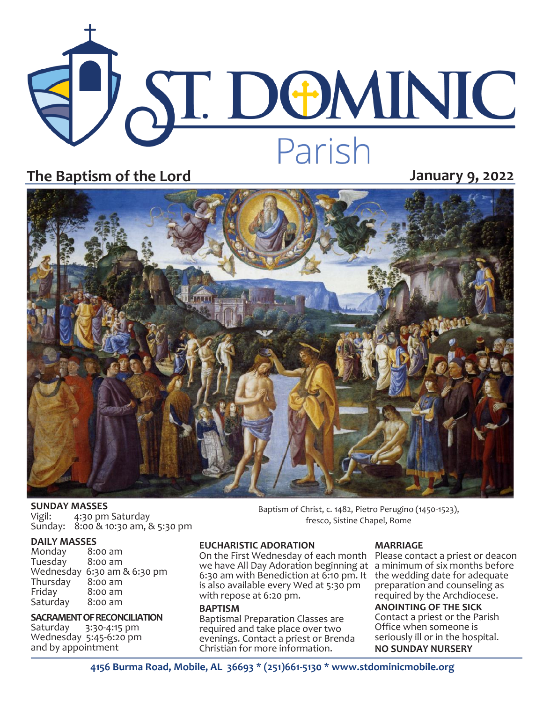

### **The Baptism of the Lord January 9, 2022**



## **SUNDAY MASSES**<br>Vigil: 4:30 pm

4:30 pm Saturday Sunday: 8:00 & 10:30 am, & 5:30 pm

### **DAILY MASSES**

Monday 8:00 am Tuesday Wednesday 6:30 am & 6:30 pm Thursday<br>Fridav  $8:00$  am<br> $8:00$  am Saturday

# **SACRAMENT OF RECONCILIATION**<br>Saturday 3:30-4:15 pm

3:30-4:15 pm Wednesday 5:45-6:20 pm and by appointment

### **EUCHARISTIC ADORATION**

On the First Wednesday of each month Please contact a priest or deacon we have All Day Adoration beginning at a minimum of six months before 6:30 am with Benediction at 6:10 pm. It the wedding date for adequate is also available every Wed at 5:30 pm with repose at 6:20 pm.

#### **BAPTISM**

Baptismal Preparation Classes are required and take place over two evenings. Contact a priest or Brenda Christian for more information.

#### **MARRIAGE**

Baptism of Christ, c. 1482, Pietro Perugino (1450-1523), fresco, Sistine Chapel, Rome

> preparation and counseling as required by the Archdiocese. **ANOINTING OF THE SICK** Contact a priest or the Parish Office when someone is seriously ill or in the hospital. **NO SUNDAY NURSERY**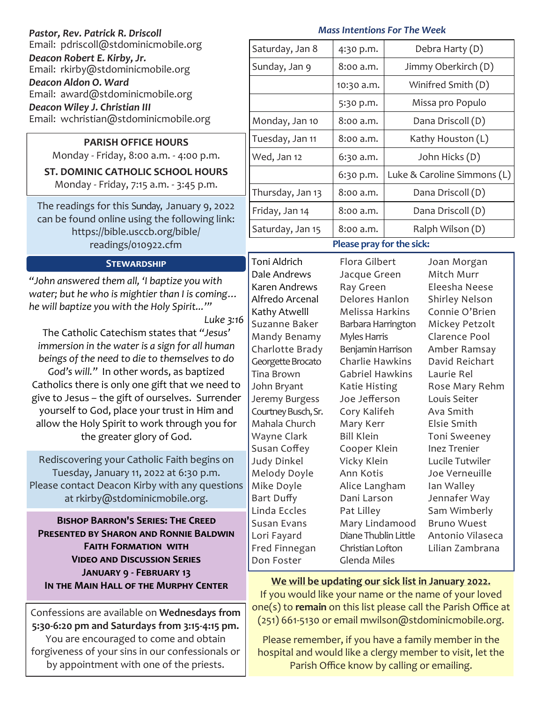| Pastor, Rev. Patrick R. Driscoll                                                                                                                                                                       | <b>Mass Intentions For The Week</b>                                                                                    |                                                                                                                                        |                                      |                             |  |
|--------------------------------------------------------------------------------------------------------------------------------------------------------------------------------------------------------|------------------------------------------------------------------------------------------------------------------------|----------------------------------------------------------------------------------------------------------------------------------------|--------------------------------------|-----------------------------|--|
| Email: pdriscoll@stdominicmobile.org                                                                                                                                                                   | Saturday, Jan 8                                                                                                        | 4:30 p.m.                                                                                                                              |                                      | Debra Harty (D)             |  |
| Deacon Robert E. Kirby, Jr.<br>Email: rkirby@stdominicmobile.org<br>Deacon Aldon O. Ward<br>Email: award@stdominicmobile.org<br>Deacon Wiley J. Christian III<br>Email: wchristian@stdominicmobile.org | Sunday, Jan 9                                                                                                          | 8:00 a.m.                                                                                                                              | Jimmy Oberkirch (D)                  |                             |  |
|                                                                                                                                                                                                        |                                                                                                                        | 10:30 a.m.                                                                                                                             | Winifred Smith (D)                   |                             |  |
|                                                                                                                                                                                                        |                                                                                                                        | 5:30 p.m.                                                                                                                              | Missa pro Populo                     |                             |  |
|                                                                                                                                                                                                        | Monday, Jan 10                                                                                                         | 8:00 a.m.                                                                                                                              | Dana Driscoll (D)                    |                             |  |
| <b>PARISH OFFICE HOURS</b><br>Monday - Friday, 8:00 a.m. - 4:00 p.m.<br><b>ST. DOMINIC CATHOLIC SCHOOL HOURS</b><br>Monday - Friday, 7:15 a.m. - 3:45 p.m.                                             | Tuesday, Jan 11                                                                                                        | 8:00 a.m.                                                                                                                              | Kathy Houston (L)                    |                             |  |
|                                                                                                                                                                                                        | Wed, Jan 12                                                                                                            | 6:30 a.m.                                                                                                                              | John Hicks (D)                       |                             |  |
|                                                                                                                                                                                                        |                                                                                                                        | 6:30 p.m.                                                                                                                              | Luke & Caroline Simmons (L)          |                             |  |
|                                                                                                                                                                                                        | Thursday, Jan 13                                                                                                       | 8:00 a.m.                                                                                                                              | Dana Driscoll (D)                    |                             |  |
| The readings for this Sunday, January 9, 2022<br>can be found online using the following link:<br>https://bible.usccb.org/bible/<br>readings/010922.cfm                                                | Friday, Jan 14                                                                                                         | 8:00 a.m.                                                                                                                              |                                      | Dana Driscoll (D)           |  |
|                                                                                                                                                                                                        | Saturday, Jan 15                                                                                                       | 8:00 a.m.                                                                                                                              |                                      | Ralph Wilson (D)            |  |
|                                                                                                                                                                                                        | Please pray for the sick:                                                                                              |                                                                                                                                        |                                      |                             |  |
| <b>STEWARDSHIP</b>                                                                                                                                                                                     | Toni Aldrich                                                                                                           | Flora Gilbert                                                                                                                          | Joan Morgan                          |                             |  |
| "John answered them all, 'I baptize you with                                                                                                                                                           | Dale Andrews<br>Karen Andrews                                                                                          | Jacque Green<br>Ray Green                                                                                                              |                                      | Mitch Murr<br>Eleesha Neese |  |
| water; but he who is mightier than I is coming                                                                                                                                                         | Alfredo Arcenal<br>Delores Hanlon                                                                                      |                                                                                                                                        | Shirley Nelson                       |                             |  |
| he will baptize you with the Holy Spirit"                                                                                                                                                              | Kathy Atwelll                                                                                                          | Melissa Harkins                                                                                                                        |                                      | Connie O'Brien              |  |
| Luke 3:16                                                                                                                                                                                              | Suzanne Baker                                                                                                          |                                                                                                                                        | Barbara Harrington<br>Mickey Petzolt |                             |  |
| The Catholic Catechism states that "Jesus"                                                                                                                                                             | Mandy Benamy                                                                                                           | Myles Harris<br>Benjamin Harrison<br>Charlie Hawkins<br>Gabriel Hawkins<br>Katie Histing<br>Joe Jefferson<br>Cory Kalifeh<br>Mary Kerr |                                      | Clarence Pool               |  |
| immersion in the water is a sign for all human                                                                                                                                                         | Charlotte Brady                                                                                                        |                                                                                                                                        |                                      | Amber Ramsay                |  |
| beings of the need to die to themselves to do                                                                                                                                                          | Georgette Brocato                                                                                                      |                                                                                                                                        |                                      | David Reichart              |  |
| God's will." In other words, as baptized                                                                                                                                                               | <b>Tina Brown</b>                                                                                                      |                                                                                                                                        |                                      | Laurie Rel                  |  |
| Catholics there is only one gift that we need to                                                                                                                                                       | John Bryant                                                                                                            |                                                                                                                                        |                                      | Rose Mary Rehm              |  |
| give to Jesus - the gift of ourselves. Surrender                                                                                                                                                       | Jeremy Burgess                                                                                                         |                                                                                                                                        |                                      | Louis Seiter                |  |
| yourself to God, place your trust in Him and                                                                                                                                                           | Courtney Busch, Sr.                                                                                                    |                                                                                                                                        |                                      | Ava Smith                   |  |
| allow the Holy Spirit to work through you for                                                                                                                                                          | Mahala Church                                                                                                          |                                                                                                                                        |                                      | Elsie Smith                 |  |
| the greater glory of God.                                                                                                                                                                              | Wayne Clark                                                                                                            | <b>Bill Klein</b>                                                                                                                      |                                      | <b>Toni Sweeney</b>         |  |
|                                                                                                                                                                                                        | Susan Coffey                                                                                                           | Cooper Klein                                                                                                                           |                                      | <b>Inez Trenier</b>         |  |
| Rediscovering your Catholic Faith begins on                                                                                                                                                            | <b>Judy Dinkel</b>                                                                                                     | Vicky Klein                                                                                                                            |                                      | Lucile Tutwiler             |  |
| Tuesday, January 11, 2022 at 6:30 p.m.                                                                                                                                                                 | Melody Doyle                                                                                                           | Ann Kotis                                                                                                                              |                                      | Joe Verneuille              |  |
| Please contact Deacon Kirby with any questions                                                                                                                                                         | Mike Doyle                                                                                                             | Alice Langham                                                                                                                          |                                      | Ian Walley                  |  |
| at rkirby@stdominicmobile.org.                                                                                                                                                                         | Bart Duffy                                                                                                             | Dani Larson                                                                                                                            |                                      | Jennafer Way                |  |
| <b>BISHOP BARRON'S SERIES: THE CREED</b>                                                                                                                                                               | Linda Eccles                                                                                                           | Pat Lilley                                                                                                                             |                                      | Sam Wimberly                |  |
|                                                                                                                                                                                                        | Susan Evans                                                                                                            | Mary Lindamood                                                                                                                         |                                      | <b>Bruno Wuest</b>          |  |
| <b>PRESENTED BY SHARON AND RONNIE BALDWIN</b>                                                                                                                                                          | Lori Fayard                                                                                                            | Diane Thublin Little                                                                                                                   |                                      | Antonio Vilaseca            |  |
| <b>FAITH FORMATION WITH</b>                                                                                                                                                                            | Fred Finnegan                                                                                                          | Christian Lofton                                                                                                                       |                                      | Lilian Zambrana             |  |
| <b>VIDEO AND DISCUSSION SERIES</b><br><b>JANUARY 9 - FEBRUARY 13</b><br>IN THE MAIN HALL OF THE MURPHY CENTER                                                                                          | Don Foster                                                                                                             | Glenda Miles                                                                                                                           |                                      |                             |  |
|                                                                                                                                                                                                        | We will be updating our sick list in January 2022.                                                                     |                                                                                                                                        |                                      |                             |  |
|                                                                                                                                                                                                        | If you would like your name or the name of your loved                                                                  |                                                                                                                                        |                                      |                             |  |
|                                                                                                                                                                                                        | one(s) to remain on this list please call the Parish Office at<br>(251) 661-5130 or email mwilson@stdominicmobile.org. |                                                                                                                                        |                                      |                             |  |
| Confessions are available on Wednesdays from<br>5:30-6:20 pm and Saturdays from 3:15-4:15 pm.                                                                                                          |                                                                                                                        |                                                                                                                                        |                                      |                             |  |
|                                                                                                                                                                                                        |                                                                                                                        |                                                                                                                                        |                                      |                             |  |

You are encouraged to come and obtain forgiveness of your sins in our confessionals or by appointment with one of the priests.

Please remember, if you have a family member in the hospital and would like a clergy member to visit, let the Parish Office know by calling or emailing.